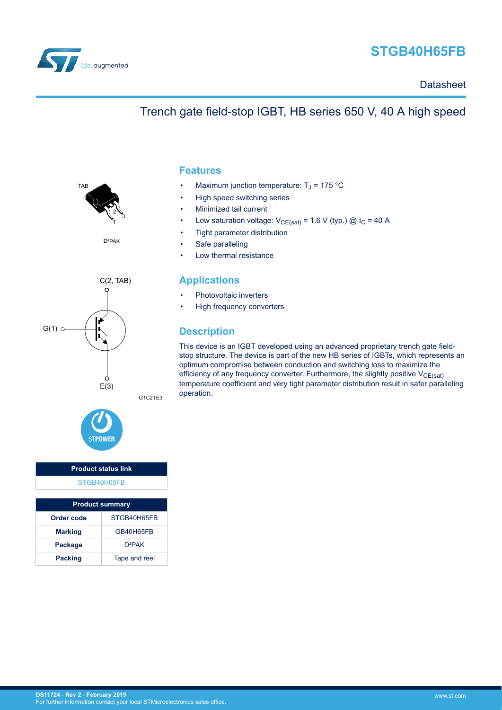

# **STGB40H65FB**

**Datasheet** 

## Trench gate field-stop IGBT, HB series 650 V, 40 A high speed



D²PAK





## **Product status link** [STGB40H65FB](https://www.st.com/en/product/stgb40h65fb)

| <b>Product summary</b> |               |  |  |  |
|------------------------|---------------|--|--|--|
| Order code             | STGB40H65FB   |  |  |  |
| <b>Marking</b>         | GB40H65FB     |  |  |  |
| Package                | $D^2PAK$      |  |  |  |
| <b>Packing</b>         | Tape and reel |  |  |  |

### **Features**

- Maximum junction temperature:  $T_J$  = 175 °C
- High speed switching series
- Minimized tail current
- Low saturation voltage:  $V_{CE(sat)} = 1.6 V$  (typ.) @ I<sub>C</sub> = 40 A
- Tight parameter distribution
- Safe paralleling
- Low thermal resistance

### **Applications**

- Photovoltaic inverters
- High frequency converters

## **Description**

This device is an IGBT developed using an advanced proprietary trench gate fieldstop structure. The device is part of the new HB series of IGBTs, which represents an optimum compromise between conduction and switching loss to maximize the efficiency of any frequency converter. Furthermore, the slightly positive  $V_{CE(sat)}$ temperature coefficient and very tight parameter distribution result in safer paralleling operation.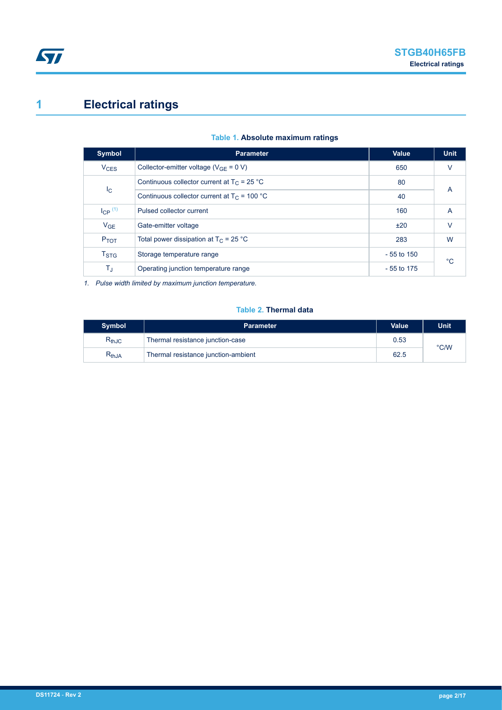# <span id="page-1-0"></span>**1 Electrical ratings**

| Symbol                    | <b>Parameter</b>                               | <b>Value</b> | <b>Unit</b> |  |
|---------------------------|------------------------------------------------|--------------|-------------|--|
| <b>V<sub>CES</sub></b>    | Collector-emitter voltage ( $V_{GF} = 0 V$ )   | 650          | V           |  |
| $I_{\rm C}$               | Continuous collector current at $T_C = 25 °C$  | 80           | A           |  |
|                           | Continuous collector current at $T_c$ = 100 °C | 40           |             |  |
| $I_{CP}$ $(1)$            | Pulsed collector current                       | 160          | A           |  |
| $V_{GE}$                  | Gate-emitter voltage                           | ±20          | $\vee$      |  |
| P <sub>TOT</sub>          | Total power dissipation at $T_C = 25$ °C       | 283          | W           |  |
| $\mathsf{T}_{\text{STG}}$ | Storage temperature range                      | $-55$ to 150 | $^{\circ}C$ |  |
| TJ                        | Operating junction temperature range           | - 55 to 175  |             |  |

### **Table 1. Absolute maximum ratings**

*1. Pulse width limited by maximum junction temperature.*

### **Table 2. Thermal data**

| <b>Symbol</b> | <b>Parameter</b>                    | <b>Value</b> | <b>Unit</b> |  |
|---------------|-------------------------------------|--------------|-------------|--|
| $R_{thJC}$    | Thermal resistance junction-case    | 0.53         |             |  |
| $R_{thJA}$    | Thermal resistance junction-ambient | 62.5         | °C/W        |  |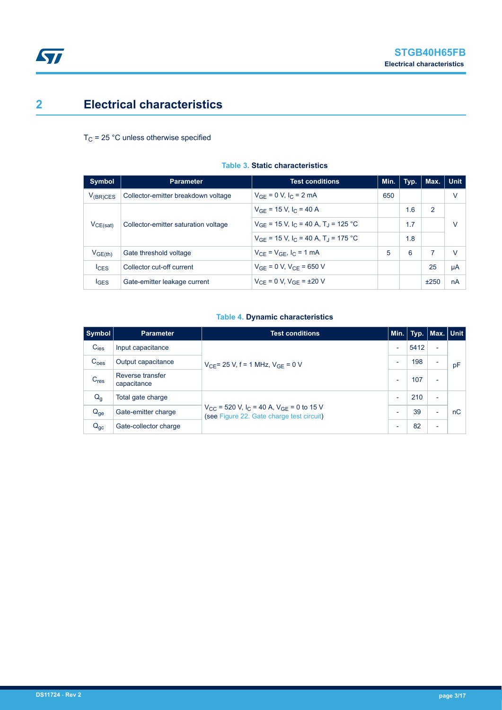## <span id="page-2-0"></span>**2 Electrical characteristics**

 $T_C$  = 25 °C unless otherwise specified

| Symbol        | <b>Parameter</b>                     | <b>Test conditions</b>                                          | Min. | Typ. | Max. | <b>Unit</b> |  |
|---------------|--------------------------------------|-----------------------------------------------------------------|------|------|------|-------------|--|
| $V_{(BR)CES}$ | Collector-emitter breakdown voltage  | $V_{GE} = 0 V, I_C = 2 mA$                                      | 650  |      |      | V           |  |
| $V_{CE(sat)}$ |                                      | $V_{GF}$ = 15 V, $I_C$ = 40 A                                   |      | 1.6  | 2    |             |  |
|               | Collector-emitter saturation voltage | $V_{GF}$ = 15 V, $I_C$ = 40 A, T <sub>J</sub> = 125 °C          |      | 1.7  |      | V           |  |
|               |                                      | $V_{GF}$ = 15 V, I <sub>C</sub> = 40 A, T <sub>J</sub> = 175 °C |      | 1.8  |      |             |  |
| $V_{GE(th)}$  | Gate threshold voltage               | $V_{CF} = V_{GF}$ , $I_C = 1$ mA                                | 5    | 6    | 7    | V           |  |
| $I_{CES}$     | Collector cut-off current            | $V_{GF} = 0 V$ , $V_{CF} = 650 V$                               |      |      | 25   | μA          |  |
| <b>IGES</b>   | Gate-emitter leakage current         | $V_{CF} = 0 V$ , $V_{GF} = \pm 20 V$                            |      |      | ±250 | nA          |  |

### **Table 3. Static characteristics**

### **Table 4. Dynamic characteristics**

| Symbol           | <b>Parameter</b>                | <b>Test conditions</b>                                                                                            |                          | Min. Typ. Max. Unit |                          |    |
|------------------|---------------------------------|-------------------------------------------------------------------------------------------------------------------|--------------------------|---------------------|--------------------------|----|
| $C_{\text{ies}}$ | Input capacitance               | $V_{CF}$ = 25 V, f = 1 MHz, $V_{GF}$ = 0 V                                                                        | ٠                        | 5412                | $\overline{\phantom{0}}$ |    |
| C <sub>oes</sub> | Output capacitance              |                                                                                                                   | ۰                        | 198                 |                          | pF |
| C <sub>res</sub> | Reverse transfer<br>capacitance |                                                                                                                   |                          | 107                 | $\overline{\phantom{0}}$ |    |
| $Q_{q}$          | Total gate charge               |                                                                                                                   | $\overline{\phantom{a}}$ | 210                 | -                        |    |
| $Q_{ge}$         | Gate-emitter charge             | $V_{CC}$ = 520 V, I <sub>C</sub> = 40 A, V <sub>GE</sub> = 0 to 15 V<br>(see Figure 22. Gate charge test circuit) | ۰                        | 39                  | $\overline{\phantom{0}}$ | nC |
| $Q_{gc}$         | Gate-collector charge           |                                                                                                                   |                          | 82                  | $\overline{\phantom{0}}$ |    |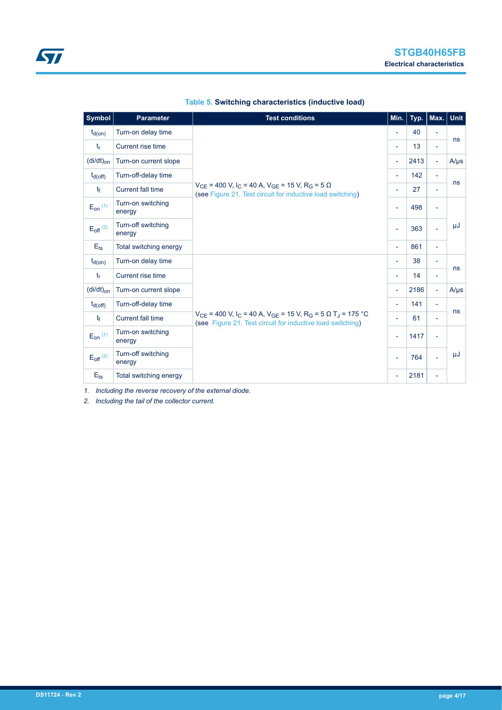| <b>Symbol</b>                     | <b>Parameter</b>             | <b>Test conditions</b>                                                                                                                                                             | Min.                     | Typ. | Max.                     | <b>Unit</b> |
|-----------------------------------|------------------------------|------------------------------------------------------------------------------------------------------------------------------------------------------------------------------------|--------------------------|------|--------------------------|-------------|
| $t_{d(on)}$                       | Turn-on delay time           |                                                                                                                                                                                    |                          | 40   |                          |             |
| $t_{r}$                           | Current rise time            |                                                                                                                                                                                    | ٠                        | 13   | $\overline{a}$           | ns          |
| $\left(\frac{di}{dt}\right)_{on}$ | Turn-on current slope        |                                                                                                                                                                                    | $\overline{\phantom{a}}$ | 2413 | $\overline{\phantom{a}}$ | $A/\mu s$   |
| $t_{d(Off)}$                      | Turn-off-delay time          |                                                                                                                                                                                    | $\overline{\phantom{a}}$ | 142  | Ξ.                       |             |
| $t_{\rm f}$                       | <b>Current fall time</b>     | $V_{CF}$ = 400 V, I <sub>C</sub> = 40 A, V <sub>GF</sub> = 15 V, R <sub>G</sub> = 5 $\Omega$<br>(see Figure 21. Test circuit for inductive load switching)                         | ٠                        | 27   | ۰                        | ns          |
| $E_{on}$ (1)                      | Turn-on switching<br>energy  |                                                                                                                                                                                    | ٠                        | 498  |                          |             |
| $E_{off}$ <sup>(2)</sup>          | Turn-off switching<br>energy |                                                                                                                                                                                    | $\overline{\phantom{0}}$ | 363  |                          | μJ          |
| $E_{\text{ts}}$                   | Total switching energy       |                                                                                                                                                                                    | $\overline{\phantom{a}}$ | 861  | $\overline{\phantom{0}}$ |             |
| $t_{d(0n)}$                       | Turn-on delay time           |                                                                                                                                                                                    | $\overline{\phantom{a}}$ | 38   | Ξ.                       | ns          |
| $t_{r}$                           | Current rise time            |                                                                                                                                                                                    | $\overline{\phantom{a}}$ | 14   | -                        |             |
| $(di/dt)_{on}$                    | Turn-on current slope        |                                                                                                                                                                                    | $\overline{\phantom{a}}$ | 2186 | $\overline{\phantom{a}}$ | $A/\mu s$   |
| $t_{d(Off)}$                      | Turn-off-delay time          |                                                                                                                                                                                    | $\overline{\phantom{a}}$ | 141  | ÷                        |             |
| $t_{\rm f}$                       | <b>Current fall time</b>     | $V_{CE}$ = 400 V, I <sub>C</sub> = 40 A, V <sub>GE</sub> = 15 V, R <sub>G</sub> = 5 $\Omega$ T <sub>J</sub> = 175 °C<br>(see Figure 21. Test circuit for inductive load switching) | ٠                        | 61   | ÷                        | ns          |
| $E_{on}$ $(1)$                    | Turn-on switching<br>energy  |                                                                                                                                                                                    |                          | 1417 | $\overline{\phantom{0}}$ |             |
| $E_{off}$ <sup>(2)</sup>          | Turn-off switching<br>energy |                                                                                                                                                                                    |                          | 764  |                          | μJ          |
| $E_{\text{ts}}$                   | Total switching energy       |                                                                                                                                                                                    | $\overline{\phantom{a}}$ | 2181 | Ξ.                       |             |

### **Table 5. Switching characteristics (inductive load)**

*1. Including the reverse recovery of the external diode.*

*2. Including the tail of the collector current.*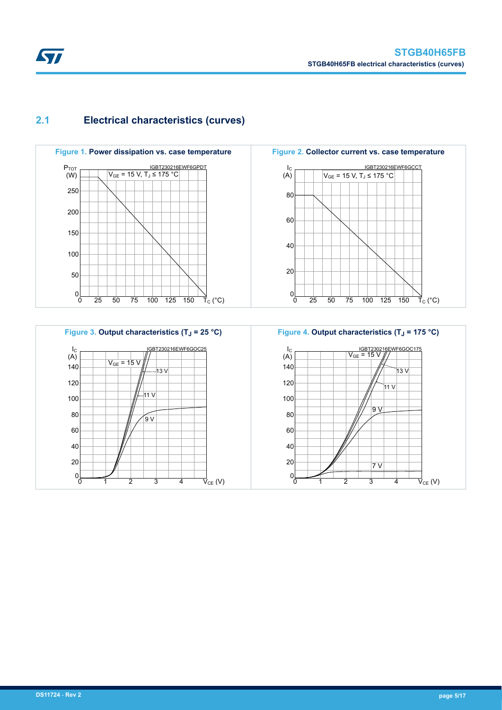## **2.1 Electrical characteristics (curves)**









<span id="page-4-0"></span>**STI**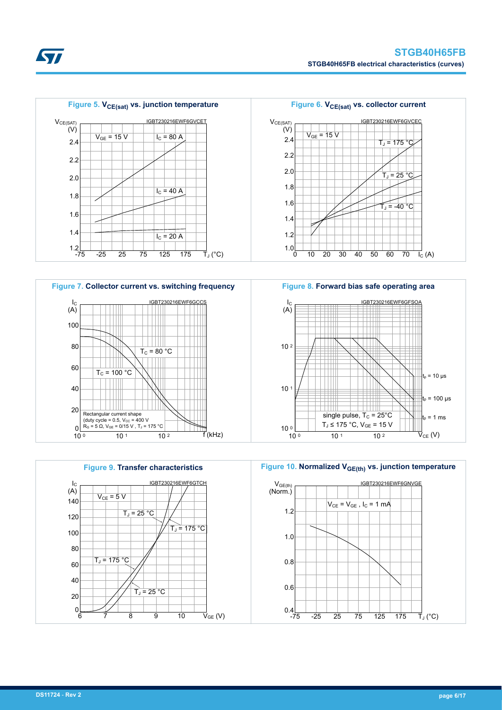







**Figure 10. Normalized VGE(th) vs. junction temperature**



**Kyr**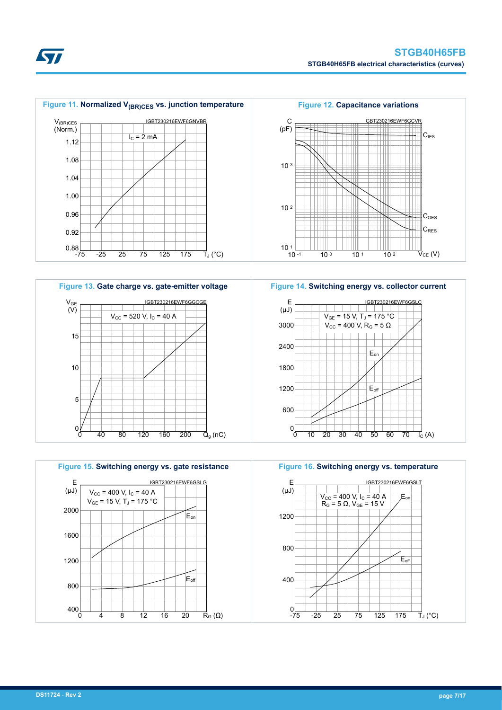













S7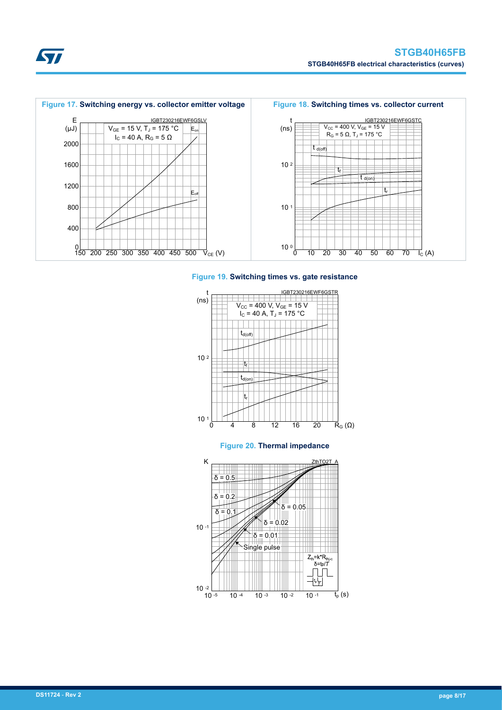





#### **Figure 20. Thermal impedance**



**Kyr**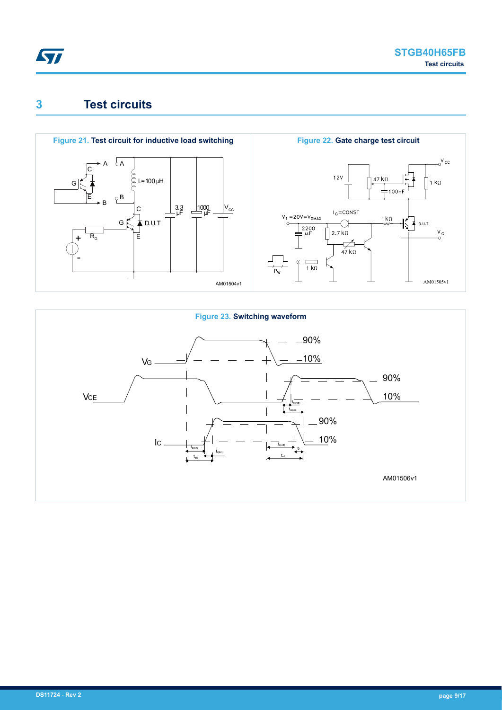<span id="page-8-0"></span>

## **3 Test circuits**



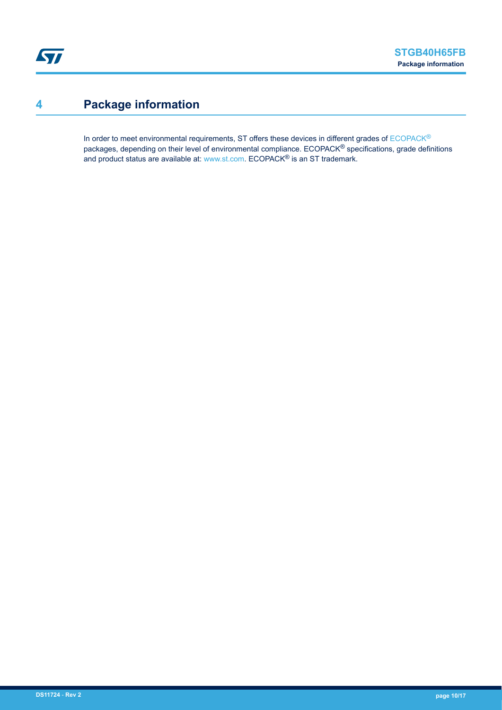## <span id="page-9-0"></span>**4 Package information**

In order to meet environmental requirements, ST offers these devices in different grades of [ECOPACK](https://www.st.com/ecopack)® packages, depending on their level of environmental compliance. ECOPACK® specifications, grade definitions and product status are available at: [www.st.com.](http://www.st.com) ECOPACK® is an ST trademark.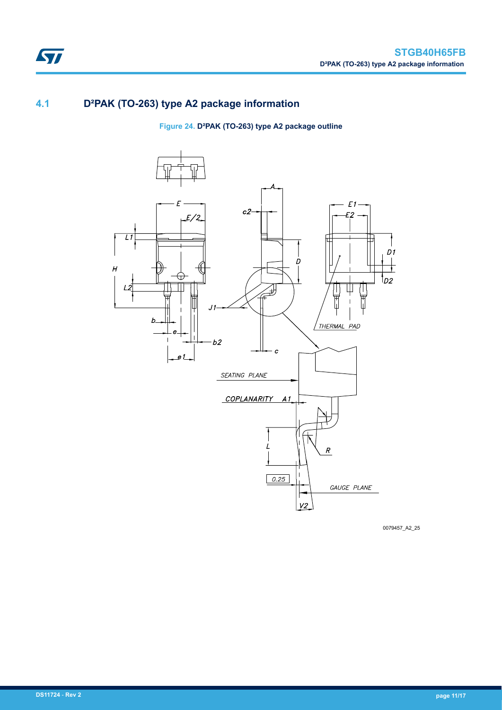## **4.1 D²PAK (TO-263) type A2 package information**

ST

**Figure 24. D²PAK (TO-263) type A2 package outline**



0079457\_A2\_25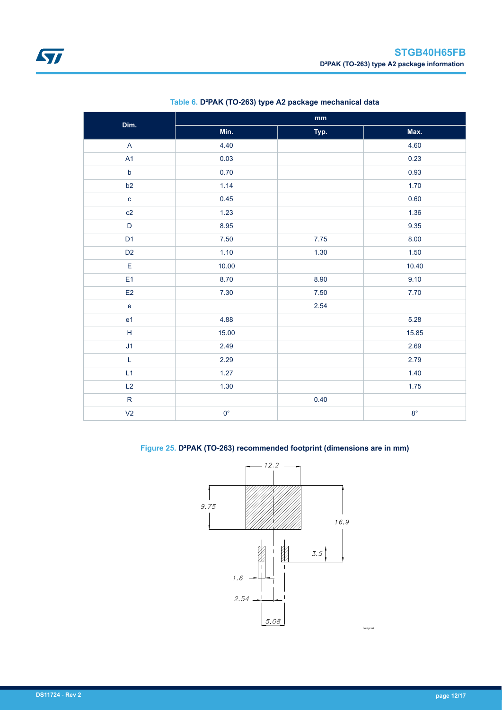<span id="page-11-0"></span>

| Dim.                                                | $\mathop{\text{mm}}\nolimits$ |      |             |  |  |
|-----------------------------------------------------|-------------------------------|------|-------------|--|--|
|                                                     | Min.                          | Typ. | Max.        |  |  |
| $\boldsymbol{\mathsf{A}}$                           | 4.40                          |      | 4.60        |  |  |
| A1                                                  | 0.03                          |      | 0.23        |  |  |
| $\mathsf b$                                         | 0.70                          |      | 0.93        |  |  |
| b2                                                  | 1.14                          |      | 1.70        |  |  |
| $\mathbf{c}$                                        | 0.45                          |      | 0.60        |  |  |
| c2                                                  | 1.23                          |      | 1.36        |  |  |
| $\mathsf D$                                         | 8.95                          |      | 9.35        |  |  |
| D <sub>1</sub>                                      | $7.50\,$                      | 7.75 | 8.00        |  |  |
| D <sub>2</sub>                                      | 1.10                          | 1.30 | 1.50        |  |  |
| $\mathsf E$                                         | 10.00                         |      | 10.40       |  |  |
| E <sub>1</sub>                                      | 8.70                          | 8.90 | 9.10        |  |  |
| E2                                                  | 7.30                          | 7.50 | 7.70        |  |  |
| $\mathbf e$                                         |                               | 2.54 |             |  |  |
| e <sub>1</sub>                                      | 4.88                          |      | 5.28        |  |  |
| $\mathsf{H}% _{\mathsf{H}}^{\ast}(\mathcal{M}_{0})$ | 15.00                         |      | 15.85       |  |  |
| J1                                                  | 2.49                          |      | 2.69        |  |  |
| $\mathsf L$                                         | 2.29                          |      | 2.79        |  |  |
| L1                                                  | 1.27                          |      | 1.40        |  |  |
| L2                                                  | 1.30                          |      | 1.75        |  |  |
| ${\sf R}$                                           |                               | 0.40 |             |  |  |
| V <sub>2</sub>                                      | $0^{\circ}$                   |      | $8^{\circ}$ |  |  |

### **Table 6. D²PAK (TO-263) type A2 package mechanical data**

### **Figure 25. D²PAK (TO-263) recommended footprint (dimensions are in mm)**



Footprin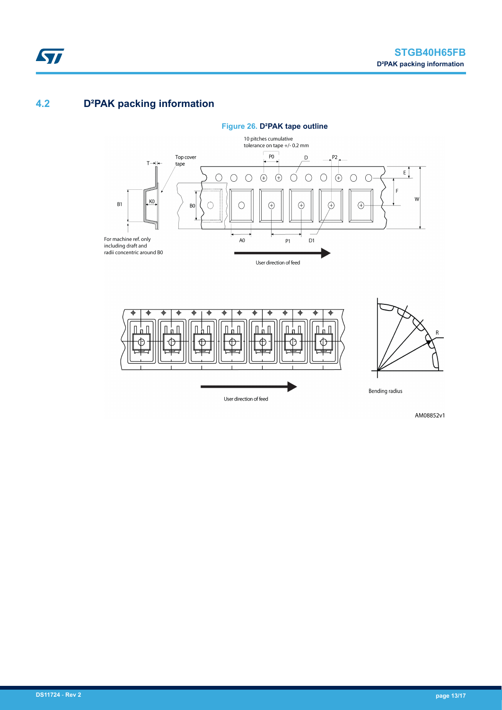## **4.2 D²PAK packing information**

ST





AM08852v1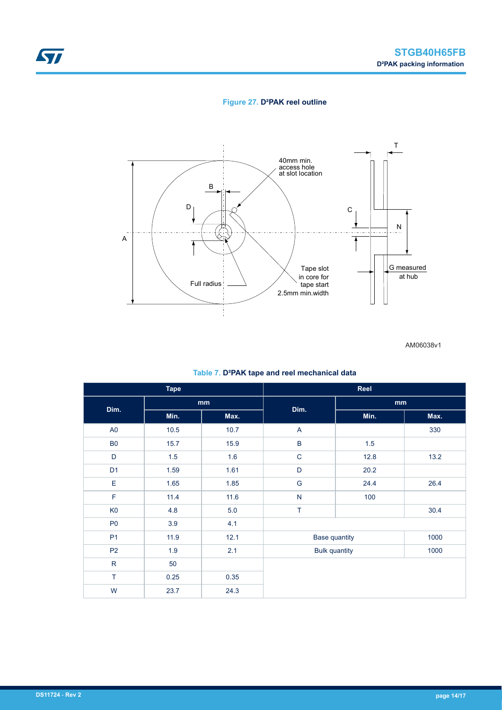### **Figure 27. D²PAK reel outline**



AM06038v1

#### **Table 7. D²PAK tape and reel mechanical data**

| <b>Tape</b>    |                            | Reel |                      |      |      |  |
|----------------|----------------------------|------|----------------------|------|------|--|
| Dim.           | $\mathop{\rm mm}\nolimits$ |      | Dim.                 | mm   |      |  |
|                | Min.                       | Max. |                      | Min. | Max. |  |
| A <sub>0</sub> | 10.5                       | 10.7 | A                    |      | 330  |  |
| <b>B0</b>      | 15.7                       | 15.9 | $\sf B$              | 1.5  |      |  |
| D              | 1.5                        | 1.6  | $\mathsf C$          | 12.8 | 13.2 |  |
| D <sub>1</sub> | 1.59                       | 1.61 | $\mathsf D$          | 20.2 |      |  |
| E              | 1.65                       | 1.85 | G                    | 24.4 | 26.4 |  |
| F              | 11.4                       | 11.6 | ${\sf N}$            | 100  |      |  |
| K <sub>0</sub> | 4.8                        | 5.0  | T                    |      | 30.4 |  |
| P <sub>0</sub> | 3.9                        | 4.1  |                      |      |      |  |
| P <sub>1</sub> | 11.9                       | 12.1 | <b>Base quantity</b> |      | 1000 |  |
| P <sub>2</sub> | 1.9                        | 2.1  | <b>Bulk quantity</b> |      | 1000 |  |
| ${\sf R}$      | 50                         |      |                      |      |      |  |
| T              | 0.25                       | 0.35 |                      |      |      |  |
| W              | 23.7                       | 24.3 |                      |      |      |  |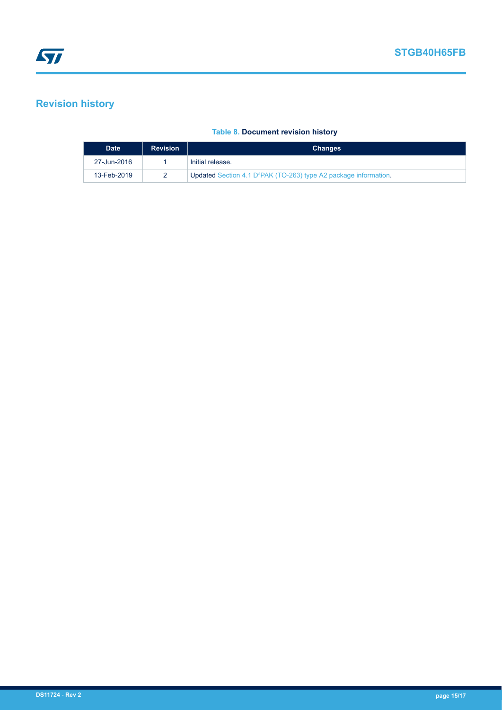## <span id="page-14-0"></span>**Revision history**

### **Table 8. Document revision history**

| <b>Date</b> | <b>Revision</b> | <b>Changes</b>                                                               |
|-------------|-----------------|------------------------------------------------------------------------------|
| 27-Jun-2016 |                 | Initial release.                                                             |
| 13-Feb-2019 |                 | Updated Section 4.1 D <sup>2</sup> PAK (TO-263) type A2 package information. |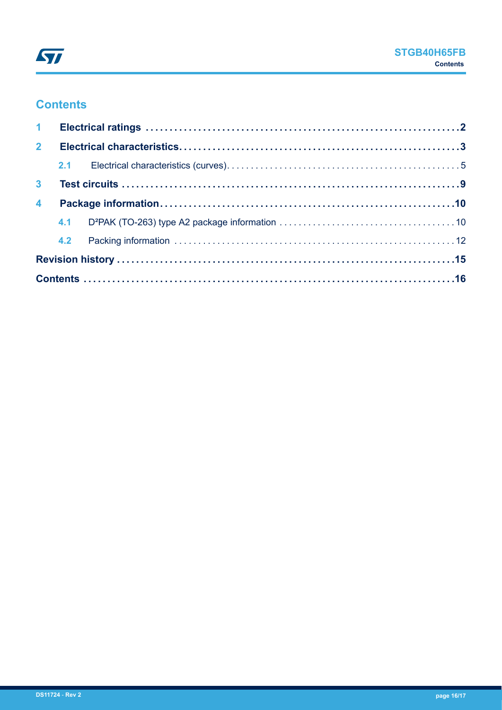## **Contents**

| 2 <sup>7</sup>          |  |  |  |  |  |  |
|-------------------------|--|--|--|--|--|--|
|                         |  |  |  |  |  |  |
| 3 <sup>1</sup>          |  |  |  |  |  |  |
| $\overline{\mathbf{4}}$ |  |  |  |  |  |  |
|                         |  |  |  |  |  |  |
|                         |  |  |  |  |  |  |
|                         |  |  |  |  |  |  |
|                         |  |  |  |  |  |  |